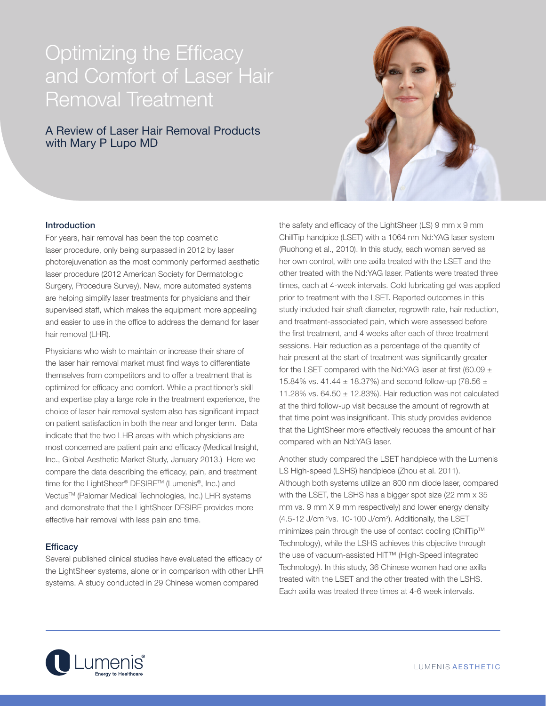# Optimizing the Efficacy and Comfort of Laser Hair Removal Treatment

# A Review of Laser Hair Removal Products with Mary P Lupo MD



## **Introduction**

For years, hair removal has been the top cosmetic laser procedure, only being surpassed in 2012 by laser photorejuvenation as the most commonly performed aesthetic laser procedure (2012 American Society for Dermatologic Surgery, Procedure Survey). New, more automated systems are helping simplify laser treatments for physicians and their supervised staff, which makes the equipment more appealing and easier to use in the office to address the demand for laser hair removal (LHR).

Physicians who wish to maintain or increase their share of the laser hair removal market must find ways to differentiate themselves from competitors and to offer a treatment that is optimized for efficacy and comfort. While a practitioner's skill and expertise play a large role in the treatment experience, the choice of laser hair removal system also has significant impact on patient satisfaction in both the near and longer term. Data indicate that the two LHR areas with which physicians are most concerned are patient pain and efficacy (Medical Insight, Inc., Global Aesthetic Market Study, January 2013.) Here we compare the data describing the efficacy, pain, and treatment time for the LightSheer® DESIRE™ (Lumenis®, Inc.) and Vectus™ (Palomar Medical Technologies, Inc.) LHR systems and demonstrate that the LightSheer DESIRE provides more effective hair removal with less pain and time.

### **Efficacy**

Several published clinical studies have evaluated the efficacy of the LightSheer systems, alone or in comparison with other LHR systems. A study conducted in 29 Chinese women compared

the safety and efficacy of the LightSheer (LS) 9 mm x 9 mm ChillTip handpice (LSET) with a 1064 nm Nd:YAG laser system (Ruohong et al., 2010). In this study, each woman served as her own control, with one axilla treated with the LSET and the other treated with the Nd:YAG laser. Patients were treated three times, each at 4-week intervals. Cold lubricating gel was applied prior to treatment with the LSET. Reported outcomes in this study included hair shaft diameter, regrowth rate, hair reduction, and treatment-associated pain, which were assessed before the first treatment, and 4 weeks after each of three treatment sessions. Hair reduction as a percentage of the quantity of hair present at the start of treatment was significantly greater for the LSET compared with the Nd:YAG laser at first (60.09  $\pm$ 15.84% vs. 41.44  $\pm$  18.37%) and second follow-up (78.56  $\pm$ 11.28% vs.  $64.50 \pm 12.83$ %). Hair reduction was not calculated at the third follow-up visit because the amount of regrowth at that time point was insignificant. This study provides evidence that the LightSheer more effectively reduces the amount of hair compared with an Nd:YAG laser.

Another study compared the LSET handpiece with the Lumenis LS High-speed (LSHS) handpiece (Zhou et al. 2011). Although both systems utilize an 800 nm diode laser, compared with the LSET, the LSHS has a bigger spot size (22 mm x 35 mm vs. 9 mm X 9 mm respectively) and lower energy density  $(4.5-12$  J/cm  $2$ vs. 10-100 J/cm<sup>2</sup>). Additionally, the LSET minimizes pain through the use of contact cooling (ChilTip™ Technology), while the LSHS achieves this objective through the use of vacuum-assisted HIT™ (High-Speed integrated Technology). In this study, 36 Chinese women had one axilla treated with the LSET and the other treated with the LSHS. Each axilla was treated three times at 4-6 week intervals.

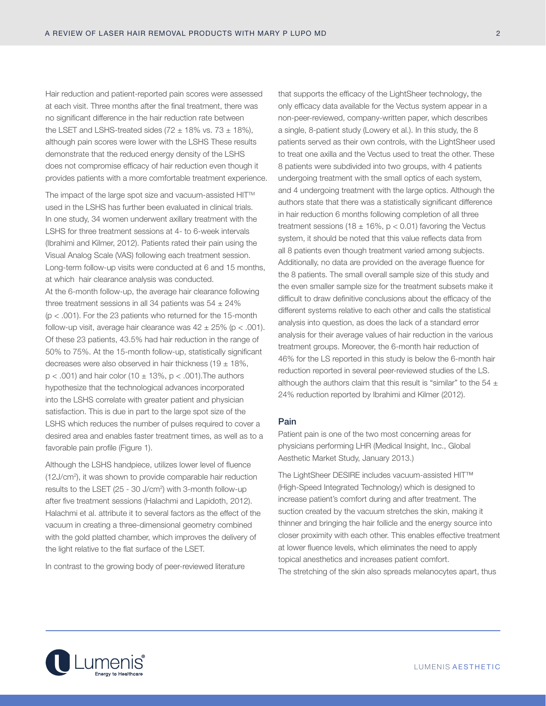Hair reduction and patient-reported pain scores were assessed at each visit. Three months after the final treatment, there was no significant difference in the hair reduction rate between the LSET and LSHS-treated sides (72  $\pm$  18% vs. 73  $\pm$  18%), although pain scores were lower with the LSHS These results demonstrate that the reduced energy density of the LSHS does not compromise efficacy of hair reduction even though it provides patients with a more comfortable treatment experience.

The impact of the large spot size and vacuum-assisted HIT<sup>™</sup> used in the LSHS has further been evaluated in clinical trials. In one study, 34 women underwent axillary treatment with the LSHS for three treatment sessions at 4- to 6-week intervals (Ibrahimi and Kilmer, 2012). Patients rated their pain using the Visual Analog Scale (VAS) following each treatment session. Long-term follow-up visits were conducted at 6 and 15 months, at which hair clearance analysis was conducted. At the 6-month follow-up, the average hair clearance following three treatment sessions in all 34 patients was  $54 \pm 24\%$  $(p < .001)$ . For the 23 patients who returned for the 15-month follow-up visit, average hair clearance was  $42 \pm 25\%$  (p < .001). Of these 23 patients, 43.5% had hair reduction in the range of 50% to 75%. At the 15-month follow-up, statistically significant decreases were also observed in hair thickness (19  $\pm$  18%,  $p < .001$ ) and hair color (10  $\pm$  13%, p  $< .001$ ). The authors hypothesize that the technological advances incorporated into the LSHS correlate with greater patient and physician satisfaction. This is due in part to the large spot size of the LSHS which reduces the number of pulses required to cover a desired area and enables faster treatment times, as well as to a favorable pain profile (Figure 1).

Although the LSHS handpiece, utilizes lower level of fluence (12J/cm2 ), it was shown to provide comparable hair reduction results to the LSET (25 - 30 J/cm2 ) with 3-month follow-up after five treatment sessions (Halachmi and Lapidoth, 2012). Halachmi et al. attribute it to several factors as the effect of the vacuum in creating a three-dimensional geometry combined with the gold platted chamber, which improves the delivery of the light relative to the flat surface of the LSET.

In contrast to the growing body of peer-reviewed literature

that supports the efficacy of the LightSheer technology, the only efficacy data available for the Vectus system appear in a non-peer-reviewed, company-written paper, which describes a single, 8-patient study (Lowery et al.). In this study, the 8 patients served as their own controls, with the LightSheer used to treat one axilla and the Vectus used to treat the other. These 8 patients were subdivided into two groups, with 4 patients undergoing treatment with the small optics of each system, and 4 undergoing treatment with the large optics. Although the authors state that there was a statistically significant difference in hair reduction 6 months following completion of all three treatment sessions (18  $\pm$  16%, p < 0.01) favoring the Vectus system, it should be noted that this value reflects data from all 8 patients even though treatment varied among subjects. Additionally, no data are provided on the average fluence for the 8 patients. The small overall sample size of this study and the even smaller sample size for the treatment subsets make it difficult to draw definitive conclusions about the efficacy of the different systems relative to each other and calls the statistical analysis into question, as does the lack of a standard error analysis for their average values of hair reduction in the various treatment groups. Moreover, the 6-month hair reduction of 46% for the LS reported in this study is below the 6-month hair reduction reported in several peer-reviewed studies of the LS. although the authors claim that this result is "similar" to the 54  $\pm$ 24% reduction reported by Ibrahimi and Kilmer (2012).

### Pain

Patient pain is one of the two most concerning areas for physicians performing LHR (Medical Insight, Inc., Global Aesthetic Market Study, January 2013.)

The LightSheer DESIRE includes vacuum-assisted HIT™ (High-Speed Integrated Technology) which is designed to increase patient's comfort during and after treatment. The suction created by the vacuum stretches the skin, making it thinner and bringing the hair follicle and the energy source into closer proximity with each other. This enables effective treatment at lower fluence levels, which eliminates the need to apply topical anesthetics and increases patient comfort. The stretching of the skin also spreads melanocytes apart, thus

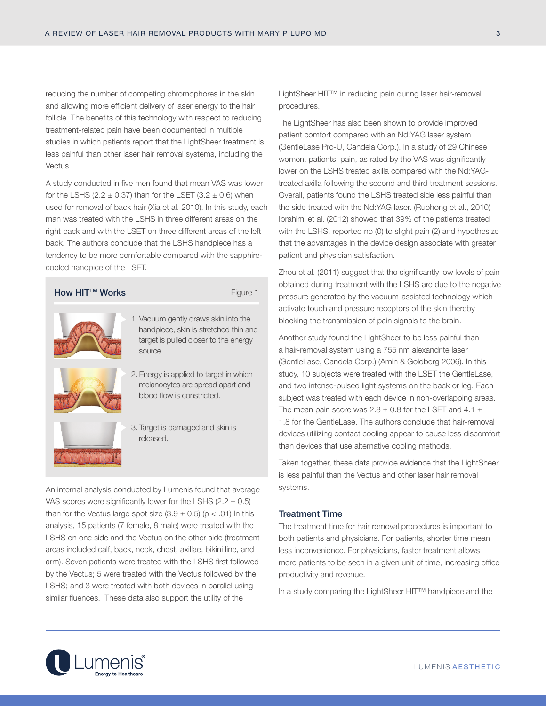reducing the number of competing chromophores in the skin and allowing more efficient delivery of laser energy to the hair follicle. The benefits of this technology with respect to reducing treatment-related pain have been documented in multiple studies in which patients report that the LightSheer treatment is less painful than other laser hair removal systems, including the Vectus.

A study conducted in five men found that mean VAS was lower for the LSHS (2.2  $\pm$  0.37) than for the LSET (3.2  $\pm$  0.6) when used for removal of back hair (Xia et al. 2010). In this study, each man was treated with the LSHS in three different areas on the right back and with the LSET on three different areas of the left back. The authors conclude that the LSHS handpiece has a tendency to be more comfortable compared with the sapphirecooled handpice of the LSET.

| How HIT <sup>™</sup> Works | Figure 1                                                                                                                          |
|----------------------------|-----------------------------------------------------------------------------------------------------------------------------------|
|                            | 1. Vacuum gently draws skin into the<br>handpiece, skin is stretched thin and<br>target is pulled closer to the energy<br>source. |
|                            | 2. Energy is applied to target in which<br>melanocytes are spread apart and<br>blood flow is constricted.                         |
|                            | 3. Target is damaged and skin is<br>released.                                                                                     |

An internal analysis conducted by Lumenis found that average VAS scores were significantly lower for the LSHS (2.2  $\pm$  0.5) than for the Vectus large spot size  $(3.9 \pm 0.5)$  (p < .01) In this analysis, 15 patients (7 female, 8 male) were treated with the LSHS on one side and the Vectus on the other side (treatment areas included calf, back, neck, chest, axillae, bikini line, and arm). Seven patients were treated with the LSHS first followed by the Vectus; 5 were treated with the Vectus followed by the LSHS; and 3 were treated with both devices in parallel using similar fluences. These data also support the utility of the

LightSheer HIT™ in reducing pain during laser hair-removal procedures.

The LightSheer has also been shown to provide improved patient comfort compared with an Nd:YAG laser system (GentleLase Pro-U, Candela Corp.). In a study of 29 Chinese women, patients' pain, as rated by the VAS was significantly lower on the LSHS treated axilla compared with the Nd:YAGtreated axilla following the second and third treatment sessions. Overall, patients found the LSHS treated side less painful than the side treated with the Nd:YAG laser. (Ruohong et al., 2010) Ibrahimi et al. (2012) showed that 39% of the patients treated with the LSHS, reported no (0) to slight pain (2) and hypothesize that the advantages in the device design associate with greater patient and physician satisfaction.

Zhou et al. (2011) suggest that the significantly low levels of pain obtained during treatment with the LSHS are due to the negative pressure generated by the vacuum-assisted technology which activate touch and pressure receptors of the skin thereby blocking the transmission of pain signals to the brain.

Another study found the LightSheer to be less painful than a hair-removal system using a 755 nm alexandrite laser (GentleLase, Candela Corp.) (Amin & Goldberg 2006). In this study, 10 subjects were treated with the LSET the GentleLase, and two intense-pulsed light systems on the back or leg. Each subject was treated with each device in non-overlapping areas. The mean pain score was  $2.8 \pm 0.8$  for the LSET and  $4.1 \pm 1.6$ 1.8 for the GentleLase. The authors conclude that hair-removal devices utilizing contact cooling appear to cause less discomfort than devices that use alternative cooling methods.

Taken together, these data provide evidence that the LightSheer is less painful than the Vectus and other laser hair removal systems.

# Treatment Time

The treatment time for hair removal procedures is important to both patients and physicians. For patients, shorter time mean less inconvenience. For physicians, faster treatment allows more patients to be seen in a given unit of time, increasing office productivity and revenue.

In a study comparing the LightSheer HIT™ handpiece and the

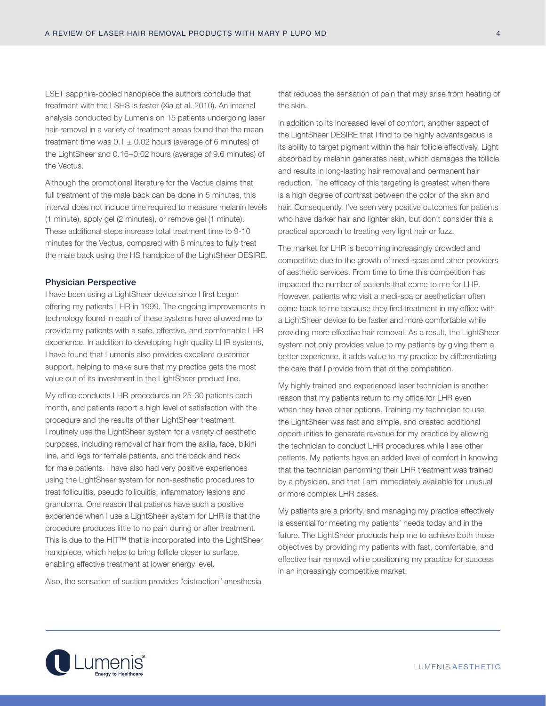LSET sapphire-cooled handpiece the authors conclude that treatment with the LSHS is faster (Xia et al. 2010). An internal analysis conducted by Lumenis on 15 patients undergoing laser hair-removal in a variety of treatment areas found that the mean treatment time was  $0.1 \pm 0.02$  hours (average of 6 minutes) of the LightSheer and 0.16+0.02 hours (average of 9.6 minutes) of the Vectus.

Although the promotional literature for the Vectus claims that full treatment of the male back can be done in 5 minutes, this interval does not include time required to measure melanin levels (1 minute), apply gel (2 minutes), or remove gel (1 minute). These additional steps increase total treatment time to 9-10 minutes for the Vectus, compared with 6 minutes to fully treat the male back using the HS handpice of the LightSheer DESIRE.

#### Physician Perspective

I have been using a LightSheer device since I first began offering my patients LHR in 1999. The ongoing improvements in technology found in each of these systems have allowed me to provide my patients with a safe, effective, and comfortable LHR experience. In addition to developing high quality LHR systems, I have found that Lumenis also provides excellent customer support, helping to make sure that my practice gets the most value out of its investment in the LightSheer product line.

My office conducts LHR procedures on 25-30 patients each month, and patients report a high level of satisfaction with the procedure and the results of their LightSheer treatment. I routinely use the LightSheer system for a variety of aesthetic purposes, including removal of hair from the axilla, face, bikini line, and legs for female patients, and the back and neck for male patients. I have also had very positive experiences using the LightSheer system for non-aesthetic procedures to treat folliculitis, pseudo folliculitis, inflammatory lesions and granuloma. One reason that patients have such a positive experience when I use a LightSheer system for LHR is that the procedure produces little to no pain during or after treatment. This is due to the HIT™ that is incorporated into the LightSheer handpiece, which helps to bring follicle closer to surface, enabling effective treatment at lower energy level.

Also, the sensation of suction provides "distraction" anesthesia

that reduces the sensation of pain that may arise from heating of the skin.

In addition to its increased level of comfort, another aspect of the LightSheer DESIRE that I find to be highly advantageous is its ability to target pigment within the hair follicle effectively. Light absorbed by melanin generates heat, which damages the follicle and results in long-lasting hair removal and permanent hair reduction. The efficacy of this targeting is greatest when there is a high degree of contrast between the color of the skin and hair. Consequently, I've seen very positive outcomes for patients who have darker hair and lighter skin, but don't consider this a practical approach to treating very light hair or fuzz.

The market for LHR is becoming increasingly crowded and competitive due to the growth of medi-spas and other providers of aesthetic services. From time to time this competition has impacted the number of patients that come to me for LHR. However, patients who visit a medi-spa or aesthetician often come back to me because they find treatment in my office with a LightSheer device to be faster and more comfortable while providing more effective hair removal. As a result, the LightSheer system not only provides value to my patients by giving them a better experience, it adds value to my practice by differentiating the care that I provide from that of the competition.

My highly trained and experienced laser technician is another reason that my patients return to my office for LHR even when they have other options. Training my technician to use the LightSheer was fast and simple, and created additional opportunities to generate revenue for my practice by allowing the technician to conduct LHR procedures while I see other patients. My patients have an added level of comfort in knowing that the technician performing their LHR treatment was trained by a physician, and that I am immediately available for unusual or more complex LHR cases.

My patients are a priority, and managing my practice effectively is essential for meeting my patients' needs today and in the future. The LightSheer products help me to achieve both those objectives by providing my patients with fast, comfortable, and effective hair removal while positioning my practice for success in an increasingly competitive market.